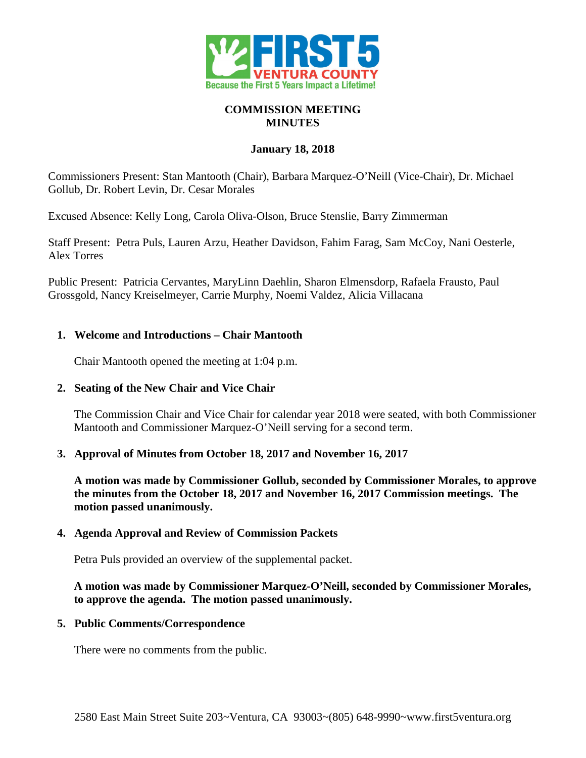

## **COMMISSION MEETING MINUTES**

# **January 18, 2018**

Commissioners Present: Stan Mantooth (Chair), Barbara Marquez-O'Neill (Vice-Chair), Dr. Michael Gollub, Dr. Robert Levin, Dr. Cesar Morales

Excused Absence: Kelly Long, Carola Oliva-Olson, Bruce Stenslie, Barry Zimmerman

Staff Present: Petra Puls, Lauren Arzu, Heather Davidson, Fahim Farag, Sam McCoy, Nani Oesterle, Alex Torres

Public Present: Patricia Cervantes, MaryLinn Daehlin, Sharon Elmensdorp, Rafaela Frausto, Paul Grossgold, Nancy Kreiselmeyer, Carrie Murphy, Noemi Valdez, Alicia Villacana

# **1. Welcome and Introductions – Chair Mantooth**

Chair Mantooth opened the meeting at 1:04 p.m.

# **2. Seating of the New Chair and Vice Chair**

The Commission Chair and Vice Chair for calendar year 2018 were seated, with both Commissioner Mantooth and Commissioner Marquez-O'Neill serving for a second term.

# **3. Approval of Minutes from October 18, 2017 and November 16, 2017**

**A motion was made by Commissioner Gollub, seconded by Commissioner Morales, to approve the minutes from the October 18, 2017 and November 16, 2017 Commission meetings. The motion passed unanimously.**

### **4. Agenda Approval and Review of Commission Packets**

Petra Puls provided an overview of the supplemental packet.

### **A motion was made by Commissioner Marquez-O'Neill, seconded by Commissioner Morales, to approve the agenda. The motion passed unanimously.**

# **5. Public Comments/Correspondence**

There were no comments from the public.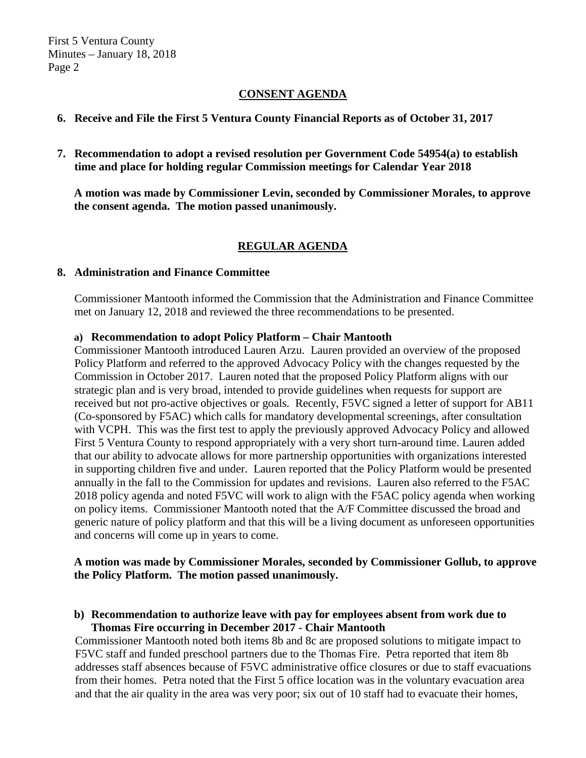## **CONSENT AGENDA**

### **6. Receive and File the First 5 Ventura County Financial Reports as of October 31, 2017**

**7. Recommendation to adopt a revised resolution per Government Code 54954(a) to establish time and place for holding regular Commission meetings for Calendar Year 2018**

**A motion was made by Commissioner Levin, seconded by Commissioner Morales, to approve the consent agenda. The motion passed unanimously.**

# **REGULAR AGENDA**

#### **8. Administration and Finance Committee**

Commissioner Mantooth informed the Commission that the Administration and Finance Committee met on January 12, 2018 and reviewed the three recommendations to be presented.

#### **a) Recommendation to adopt Policy Platform – Chair Mantooth**

Commissioner Mantooth introduced Lauren Arzu. Lauren provided an overview of the proposed Policy Platform and referred to the approved Advocacy Policy with the changes requested by the Commission in October 2017. Lauren noted that the proposed Policy Platform aligns with our strategic plan and is very broad, intended to provide guidelines when requests for support are received but not pro-active objectives or goals. Recently, F5VC signed a letter of support for AB11 (Co-sponsored by F5AC) which calls for mandatory developmental screenings, after consultation with VCPH. This was the first test to apply the previously approved Advocacy Policy and allowed First 5 Ventura County to respond appropriately with a very short turn-around time. Lauren added that our ability to advocate allows for more partnership opportunities with organizations interested in supporting children five and under. Lauren reported that the Policy Platform would be presented annually in the fall to the Commission for updates and revisions. Lauren also referred to the F5AC 2018 policy agenda and noted F5VC will work to align with the F5AC policy agenda when working on policy items. Commissioner Mantooth noted that the A/F Committee discussed the broad and generic nature of policy platform and that this will be a living document as unforeseen opportunities and concerns will come up in years to come.

### **A motion was made by Commissioner Morales, seconded by Commissioner Gollub, to approve the Policy Platform. The motion passed unanimously.**

### **b) Recommendation to authorize leave with pay for employees absent from work due to Thomas Fire occurring in December 2017 - Chair Mantooth**

Commissioner Mantooth noted both items 8b and 8c are proposed solutions to mitigate impact to F5VC staff and funded preschool partners due to the Thomas Fire. Petra reported that item 8b addresses staff absences because of F5VC administrative office closures or due to staff evacuations from their homes. Petra noted that the First 5 office location was in the voluntary evacuation area and that the air quality in the area was very poor; six out of 10 staff had to evacuate their homes,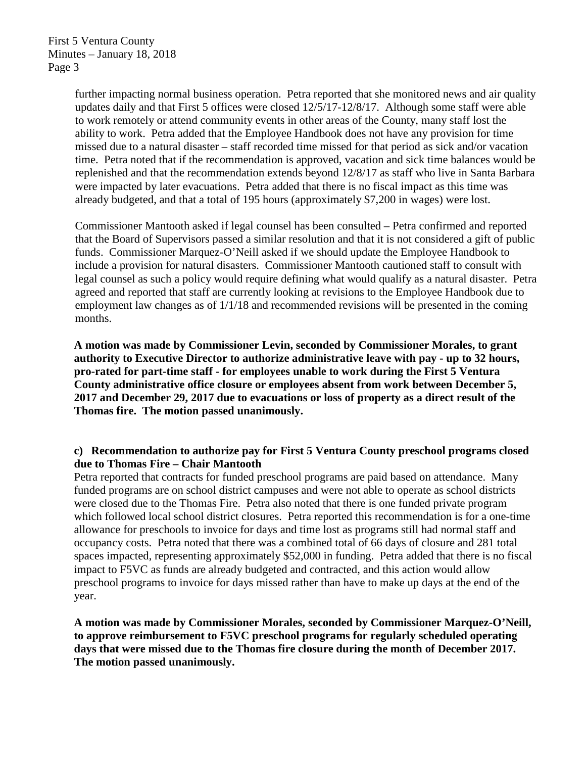further impacting normal business operation. Petra reported that she monitored news and air quality updates daily and that First 5 offices were closed 12/5/17-12/8/17. Although some staff were able to work remotely or attend community events in other areas of the County, many staff lost the ability to work. Petra added that the Employee Handbook does not have any provision for time missed due to a natural disaster – staff recorded time missed for that period as sick and/or vacation time. Petra noted that if the recommendation is approved, vacation and sick time balances would be replenished and that the recommendation extends beyond 12/8/17 as staff who live in Santa Barbara were impacted by later evacuations. Petra added that there is no fiscal impact as this time was already budgeted, and that a total of 195 hours (approximately \$7,200 in wages) were lost.

Commissioner Mantooth asked if legal counsel has been consulted – Petra confirmed and reported that the Board of Supervisors passed a similar resolution and that it is not considered a gift of public funds. Commissioner Marquez-O'Neill asked if we should update the Employee Handbook to include a provision for natural disasters. Commissioner Mantooth cautioned staff to consult with legal counsel as such a policy would require defining what would qualify as a natural disaster. Petra agreed and reported that staff are currently looking at revisions to the Employee Handbook due to employment law changes as of 1/1/18 and recommended revisions will be presented in the coming months.

**A motion was made by Commissioner Levin, seconded by Commissioner Morales, to grant authority to Executive Director to authorize administrative leave with pay - up to 32 hours, pro-rated for part-time staff - for employees unable to work during the First 5 Ventura County administrative office closure or employees absent from work between December 5, 2017 and December 29, 2017 due to evacuations or loss of property as a direct result of the Thomas fire. The motion passed unanimously.**

# **c) Recommendation to authorize pay for First 5 Ventura County preschool programs closed due to Thomas Fire – Chair Mantooth**

Petra reported that contracts for funded preschool programs are paid based on attendance. Many funded programs are on school district campuses and were not able to operate as school districts were closed due to the Thomas Fire. Petra also noted that there is one funded private program which followed local school district closures. Petra reported this recommendation is for a one-time allowance for preschools to invoice for days and time lost as programs still had normal staff and occupancy costs. Petra noted that there was a combined total of 66 days of closure and 281 total spaces impacted, representing approximately \$52,000 in funding. Petra added that there is no fiscal impact to F5VC as funds are already budgeted and contracted, and this action would allow preschool programs to invoice for days missed rather than have to make up days at the end of the year.

**A motion was made by Commissioner Morales, seconded by Commissioner Marquez-O'Neill, to approve reimbursement to F5VC preschool programs for regularly scheduled operating days that were missed due to the Thomas fire closure during the month of December 2017. The motion passed unanimously.**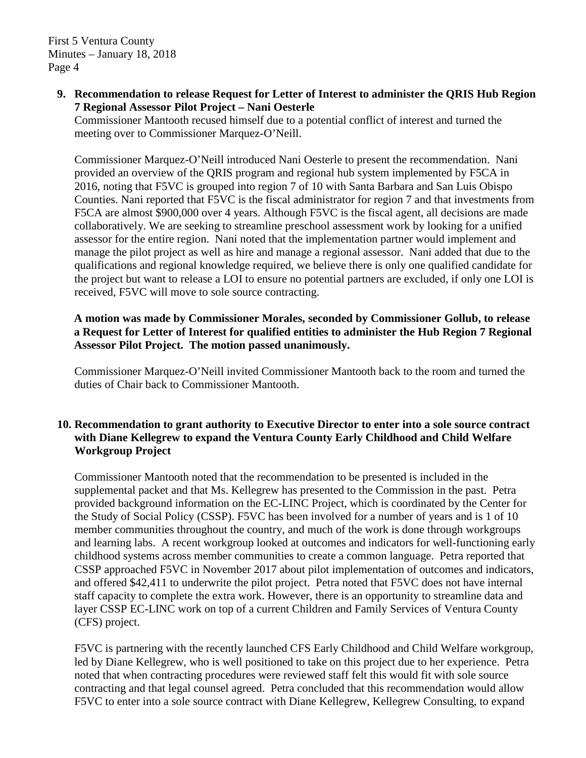First 5 Ventura County Minutes – January 18, 2018 Page 4

**9. Recommendation to release Request for Letter of Interest to administer the QRIS Hub Region 7 Regional Assessor Pilot Project – Nani Oesterle**

Commissioner Mantooth recused himself due to a potential conflict of interest and turned the meeting over to Commissioner Marquez-O'Neill.

Commissioner Marquez-O'Neill introduced Nani Oesterle to present the recommendation. Nani provided an overview of the QRIS program and regional hub system implemented by F5CA in 2016, noting that F5VC is grouped into region 7 of 10 with Santa Barbara and San Luis Obispo Counties. Nani reported that F5VC is the fiscal administrator for region 7 and that investments from F5CA are almost \$900,000 over 4 years. Although F5VC is the fiscal agent, all decisions are made collaboratively. We are seeking to streamline preschool assessment work by looking for a unified assessor for the entire region. Nani noted that the implementation partner would implement and manage the pilot project as well as hire and manage a regional assessor. Nani added that due to the qualifications and regional knowledge required, we believe there is only one qualified candidate for the project but want to release a LOI to ensure no potential partners are excluded, if only one LOI is received, F5VC will move to sole source contracting.

# **A motion was made by Commissioner Morales, seconded by Commissioner Gollub, to release a Request for Letter of Interest for qualified entities to administer the Hub Region 7 Regional Assessor Pilot Project. The motion passed unanimously.**

Commissioner Marquez-O'Neill invited Commissioner Mantooth back to the room and turned the duties of Chair back to Commissioner Mantooth.

### **10. Recommendation to grant authority to Executive Director to enter into a sole source contract with Diane Kellegrew to expand the Ventura County Early Childhood and Child Welfare Workgroup Project**

Commissioner Mantooth noted that the recommendation to be presented is included in the supplemental packet and that Ms. Kellegrew has presented to the Commission in the past. Petra provided background information on the EC-LINC Project, which is coordinated by the Center for the Study of Social Policy (CSSP). F5VC has been involved for a number of years and is 1 of 10 member communities throughout the country, and much of the work is done through workgroups and learning labs. A recent workgroup looked at outcomes and indicators for well-functioning early childhood systems across member communities to create a common language. Petra reported that CSSP approached F5VC in November 2017 about pilot implementation of outcomes and indicators, and offered \$42,411 to underwrite the pilot project. Petra noted that F5VC does not have internal staff capacity to complete the extra work. However, there is an opportunity to streamline data and layer CSSP EC-LINC work on top of a current Children and Family Services of Ventura County (CFS) project.

F5VC is partnering with the recently launched CFS Early Childhood and Child Welfare workgroup, led by Diane Kellegrew, who is well positioned to take on this project due to her experience. Petra noted that when contracting procedures were reviewed staff felt this would fit with sole source contracting and that legal counsel agreed. Petra concluded that this recommendation would allow F5VC to enter into a sole source contract with Diane Kellegrew, Kellegrew Consulting, to expand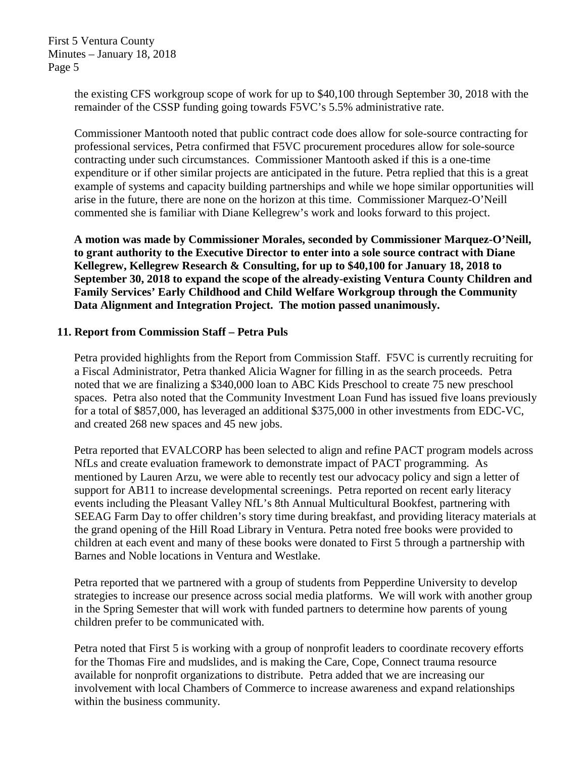First 5 Ventura County Minutes – January 18, 2018 Page 5

> the existing CFS workgroup scope of work for up to \$40,100 through September 30, 2018 with the remainder of the CSSP funding going towards F5VC's 5.5% administrative rate.

Commissioner Mantooth noted that public contract code does allow for sole-source contracting for professional services, Petra confirmed that F5VC procurement procedures allow for sole-source contracting under such circumstances. Commissioner Mantooth asked if this is a one-time expenditure or if other similar projects are anticipated in the future. Petra replied that this is a great example of systems and capacity building partnerships and while we hope similar opportunities will arise in the future, there are none on the horizon at this time. Commissioner Marquez-O'Neill commented she is familiar with Diane Kellegrew's work and looks forward to this project.

**A motion was made by Commissioner Morales, seconded by Commissioner Marquez-O'Neill, to grant authority to the Executive Director to enter into a sole source contract with Diane Kellegrew, Kellegrew Research & Consulting, for up to \$40,100 for January 18, 2018 to September 30, 2018 to expand the scope of the already-existing Ventura County Children and Family Services' Early Childhood and Child Welfare Workgroup through the Community Data Alignment and Integration Project. The motion passed unanimously.**

### **11. Report from Commission Staff – Petra Puls**

Petra provided highlights from the Report from Commission Staff. F5VC is currently recruiting for a Fiscal Administrator, Petra thanked Alicia Wagner for filling in as the search proceeds. Petra noted that we are finalizing a \$340,000 loan to ABC Kids Preschool to create 75 new preschool spaces. Petra also noted that the Community Investment Loan Fund has issued five loans previously for a total of \$857,000, has leveraged an additional \$375,000 in other investments from EDC-VC, and created 268 new spaces and 45 new jobs.

Petra reported that EVALCORP has been selected to align and refine PACT program models across NfLs and create evaluation framework to demonstrate impact of PACT programming. As mentioned by Lauren Arzu, we were able to recently test our advocacy policy and sign a letter of support for AB11 to increase developmental screenings. Petra reported on recent early literacy events including the Pleasant Valley NfL's 8th Annual Multicultural Bookfest, partnering with SEEAG Farm Day to offer children's story time during breakfast, and providing literacy materials at the grand opening of the Hill Road Library in Ventura. Petra noted free books were provided to children at each event and many of these books were donated to First 5 through a partnership with Barnes and Noble locations in Ventura and Westlake.

Petra reported that we partnered with a group of students from Pepperdine University to develop strategies to increase our presence across social media platforms. We will work with another group in the Spring Semester that will work with funded partners to determine how parents of young children prefer to be communicated with.

Petra noted that First 5 is working with a group of nonprofit leaders to coordinate recovery efforts for the Thomas Fire and mudslides, and is making the Care, Cope, Connect trauma resource available for nonprofit organizations to distribute. Petra added that we are increasing our involvement with local Chambers of Commerce to increase awareness and expand relationships within the business community.